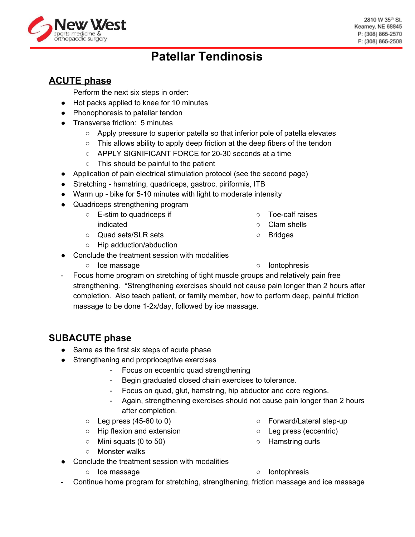# **Patellar Tendinosis**

## **ACUTE phase**

Perform the next six steps in order:

- Hot packs applied to knee for 10 minutes
- Phonophoresis to patellar tendon
- Transverse friction: 5 minutes
	- Apply pressure to superior patella so that inferior pole of patella elevates
	- This allows ability to apply deep friction at the deep fibers of the tendon
	- APPLY SIGNIFICANT FORCE for 20-30 seconds at a time
	- This should be painful to the patient
- Application of pain electrical stimulation protocol (see the second page)
- Stretching hamstring, quadriceps, gastroc, piriformis, ITB
- Warm up bike for 5-10 minutes with light to moderate intensity
- Quadriceps strengthening program
	- $\circ$  E-stim to quadriceps if indicated
	- Quad sets/SLR sets
	- Hip adduction/abduction
- Conclude the treatment session with modalities
	- Ice massage **○** Iontophresis
- 
- Focus home program on stretching of tight muscle groups and relatively pain free strengthening. \*Strengthening exercises should not cause pain longer than 2 hours after completion. Also teach patient, or family member, how to perform deep, painful friction massage to be done 1-2x/day, followed by ice massage.

### **SUBACUTE phase**

- Same as the first six steps of acute phase
- Strengthening and proprioceptive exercises
	- Focus on eccentric quad strengthening
	- Begin graduated closed chain exercises to tolerance.
	- Focus on quad, glut, hamstring, hip abductor and core regions.
	- Again, strengthening exercises should not cause pain longer than 2 hours after completion.
	- $\circ$  Leg press (45-60 to 0)
	- Hip flexion and extension
	- $\circ$  Mini squats (0 to 50)
	- Monster walks
- Conclude the treatment session with modalities
	-
- Forward/Lateral step-up
- Leg press (eccentric)
- Hamstring curls
- Ice massage **○** Iontophresis
- Continue home program for stretching, strengthening, friction massage and ice massage



- Toe-calf raises
- Clam shells
- Bridges
-